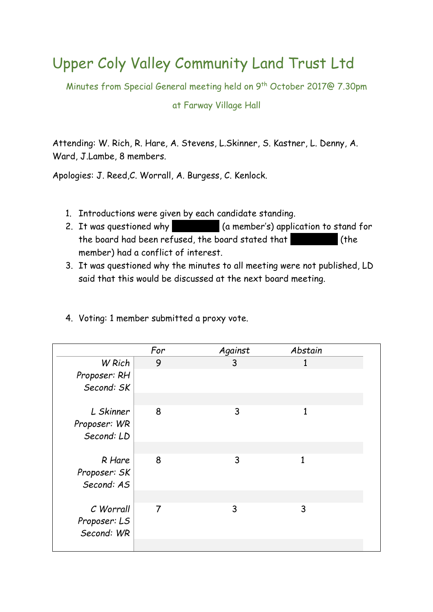## Upper Coly Valley Community Land Trust Ltd

Minutes from Special General meeting held on 9th October 2017@ 7.30pm

## at Farway Village Hall

Attending: W. Rich, R. Hare, A. Stevens, L.Skinner, S. Kastner, L. Denny, A. Ward, J.Lambe, 8 members.

Apologies: J. Reed,C. Worrall, A. Burgess, C. Kenlock.

- 1. Introductions were given by each candidate standing.
- 2. It was questioned why  $\blacksquare$  (a member's) application to stand for the board had been refused, the board stated that (the member) had a conflict of interest.
- 3. It was questioned why the minutes to all meeting were not published, LD said that this would be discussed at the next board meeting.
- 4. Voting: 1 member submitted a proxy vote.

|                                         | For | Against | Abstain |  |
|-----------------------------------------|-----|---------|---------|--|
| W Rich                                  | 9   | 3       |         |  |
| Proposer: RH<br>Second: SK              |     |         |         |  |
|                                         |     |         |         |  |
| L Skinner<br>Proposer: WR<br>Second: LD | 8   | 3       | 1       |  |
|                                         |     |         |         |  |
| R Hare<br>Proposer: SK<br>Second: AS    | 8   | 3       | 1       |  |
|                                         |     |         |         |  |
| C Worrall<br>Proposer: LS<br>Second: WR | 7   | 3       | 3       |  |
|                                         |     |         |         |  |